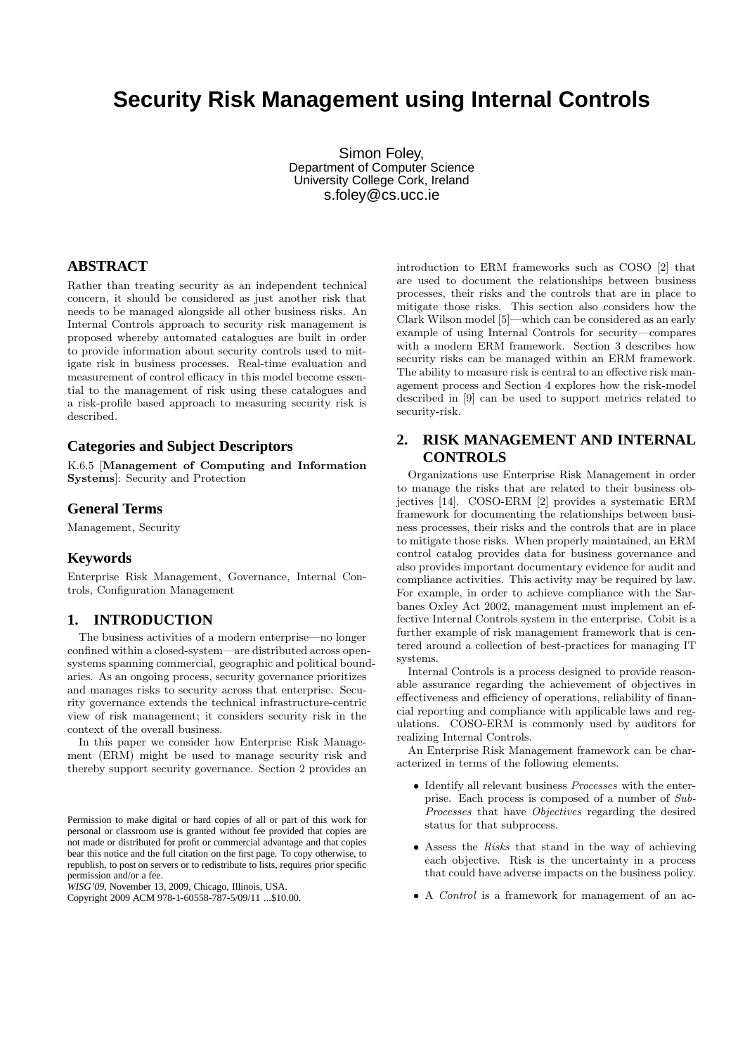# **Security Risk Management using Internal Controls**

Simon Foley, Department of Computer Science University College Cork, Ireland s.foley@cs.ucc.ie

# **ABSTRACT**

Rather than treating security as an independent technical concern, it should be considered as just another risk that needs to be managed alongside all other business risks. An Internal Controls approach to security risk management is proposed whereby automated catalogues are built in order to provide information about security controls used to mitigate risk in business processes. Real-time evaluation and measurement of control efficacy in this model become essential to the management of risk using these catalogues and a risk-profile based approach to measuring security risk is described.

## **Categories and Subject Descriptors**

K.6.5 [Management of Computing and Information Systems]: Security and Protection

### **General Terms**

Management, Security

#### **Keywords**

Enterprise Risk Management, Governance, Internal Controls, Configuration Management

### **1. INTRODUCTION**

The business activities of a modern enterprise—no longer confined within a closed-system—are distributed across opensystems spanning commercial, geographic and political boundaries. As an ongoing process, security governance prioritizes and manages risks to security across that enterprise. Security governance extends the technical infrastructure-centric view of risk management; it considers security risk in the context of the overall business.

In this paper we consider how Enterprise Risk Management (ERM) might be used to manage security risk and thereby support security governance. Section 2 provides an

*WISG'09,* November 13, 2009, Chicago, Illinois, USA.

introduction to ERM frameworks such as COSO [2] that are used to document the relationships between business processes, their risks and the controls that are in place to mitigate those risks. This section also considers how the Clark Wilson model [5]—which can be considered as an early example of using Internal Controls for security—compares with a modern ERM framework. Section 3 describes how security risks can be managed within an ERM framework. The ability to measure risk is central to an effective risk management process and Section 4 explores how the risk-model described in [9] can be used to support metrics related to security-risk.

# **2. RISK MANAGEMENT AND INTERNAL CONTROLS**

Organizations use Enterprise Risk Management in order to manage the risks that are related to their business objectives [14]. COSO-ERM [2] provides a systematic ERM framework for documenting the relationships between business processes, their risks and the controls that are in place to mitigate those risks. When properly maintained, an ERM control catalog provides data for business governance and also provides important documentary evidence for audit and compliance activities. This activity may be required by law. For example, in order to achieve compliance with the Sarbanes Oxley Act 2002, management must implement an effective Internal Controls system in the enterprise. Cobit is a further example of risk management framework that is centered around a collection of best-practices for managing IT systems.

Internal Controls is a process designed to provide reasonable assurance regarding the achievement of objectives in effectiveness and efficiency of operations, reliability of financial reporting and compliance with applicable laws and regulations. COSO-ERM is commonly used by auditors for realizing Internal Controls.

An Enterprise Risk Management framework can be characterized in terms of the following elements.

- Identify all relevant business *Processes* with the enterprise. Each process is composed of a number of *Sub-Processes* that have *Objectives* regarding the desired status for that subprocess.
- Assess the *Risks* that stand in the way of achieving each objective. Risk is the uncertainty in a process that could have adverse impacts on the business policy.
- A *Control* is a framework for management of an ac-

Permission to make digital or hard copies of all or part of this work for personal or classroom use is granted without fee provided that copies are not made or distributed for profit or commercial advantage and that copies bear this notice and the full citation on the first page. To copy otherwise, to republish, to post on servers or to redistribute to lists, requires prior specific permission and/or a fee.

Copyright 2009 ACM 978-1-60558-787-5/09/11 ...\$10.00.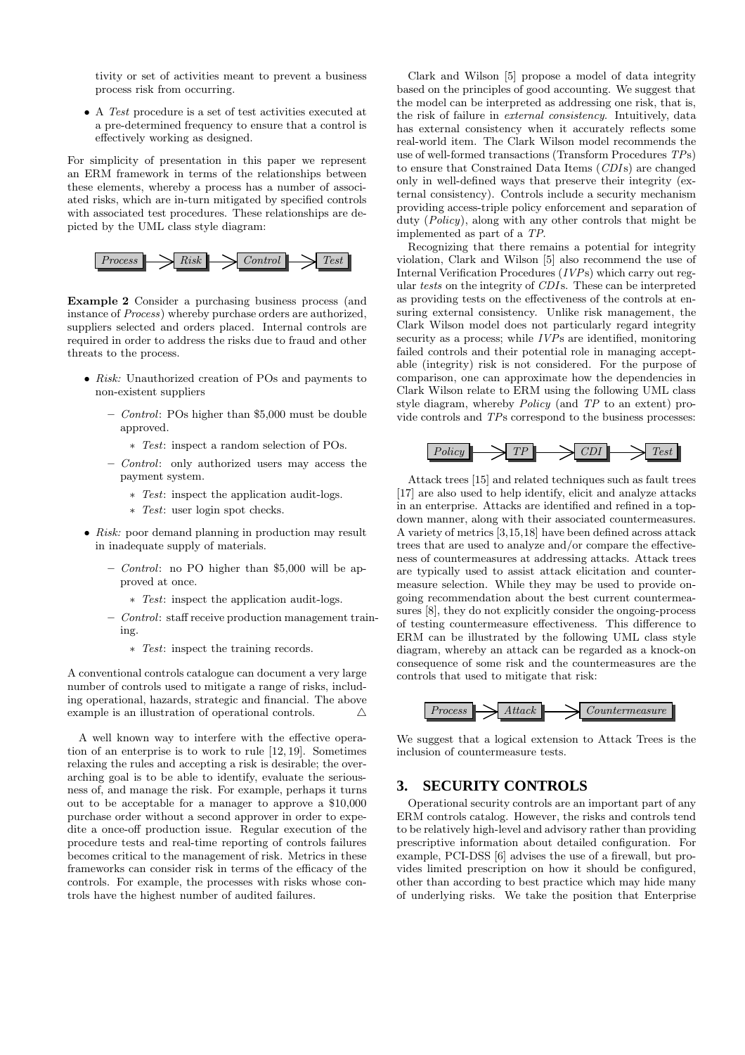tivity or set of activities meant to prevent a business process risk from occurring.

• A *Test* procedure is a set of test activities executed at a pre-determined frequency to ensure that a control is effectively working as designed.

For simplicity of presentation in this paper we represent an ERM framework in terms of the relationships between these elements, whereby a process has a number of associated risks, which are in-turn mitigated by specified controls with associated test procedures. These relationships are depicted by the UML class style diagram:



Example 2 Consider a purchasing business process (and instance of *Process*) whereby purchase orders are authorized, suppliers selected and orders placed. Internal controls are required in order to address the risks due to fraud and other threats to the process.

- *Risk:* Unauthorized creation of POs and payments to non-existent suppliers
	- *Control*: POs higher than \$5,000 must be double approved.
		- ∗ *Test*: inspect a random selection of POs.
	- *Control*: only authorized users may access the payment system.
		- ∗ *Test*: inspect the application audit-logs.
		- ∗ *Test*: user login spot checks.
- *Risk:* poor demand planning in production may result in inadequate supply of materials.
	- *Control*: no PO higher than \$5,000 will be approved at once.
		- ∗ *Test*: inspect the application audit-logs.
	- *Control*: staff receive production management training.
		- ∗ *Test*: inspect the training records.

A conventional controls catalogue can document a very large number of controls used to mitigate a range of risks, including operational, hazards, strategic and financial. The above example is an illustration of operational controls.  $\Delta$ 

A well known way to interfere with the effective operation of an enterprise is to work to rule [12, 19]. Sometimes relaxing the rules and accepting a risk is desirable; the overarching goal is to be able to identify, evaluate the seriousness of, and manage the risk. For example, perhaps it turns out to be acceptable for a manager to approve a \$10,000 purchase order without a second approver in order to expedite a once-off production issue. Regular execution of the procedure tests and real-time reporting of controls failures becomes critical to the management of risk. Metrics in these frameworks can consider risk in terms of the efficacy of the controls. For example, the processes with risks whose controls have the highest number of audited failures.

Clark and Wilson [5] propose a model of data integrity based on the principles of good accounting. We suggest that the model can be interpreted as addressing one risk, that is, the risk of failure in *external consistency*. Intuitively, data has external consistency when it accurately reflects some real-world item. The Clark Wilson model recommends the use of well-formed transactions (Transform Procedures *TP*s) to ensure that Constrained Data Items (*CDI* s) are changed only in well-defined ways that preserve their integrity (external consistency). Controls include a security mechanism providing access-triple policy enforcement and separation of duty (*Policy*), along with any other controls that might be implemented as part of a *TP*.

Recognizing that there remains a potential for integrity violation, Clark and Wilson [5] also recommend the use of Internal Verification Procedures (*IVP*s) which carry out regular *tests* on the integrity of *CDI* s. These can be interpreted as providing tests on the effectiveness of the controls at ensuring external consistency. Unlike risk management, the Clark Wilson model does not particularly regard integrity security as a process; while *IVP*s are identified, monitoring failed controls and their potential role in managing acceptable (integrity) risk is not considered. For the purpose of comparison, one can approximate how the dependencies in Clark Wilson relate to ERM using the following UML class style diagram, whereby *Policy* (and *TP* to an extent) provide controls and *TP*s correspond to the business processes:



Attack trees [15] and related techniques such as fault trees [17] are also used to help identify, elicit and analyze attacks in an enterprise. Attacks are identified and refined in a topdown manner, along with their associated countermeasures. A variety of metrics [3,15,18] have been defined across attack trees that are used to analyze and/or compare the effectiveness of countermeasures at addressing attacks. Attack trees are typically used to assist attack elicitation and countermeasure selection. While they may be used to provide ongoing recommendation about the best current countermeasures [8], they do not explicitly consider the ongoing-process of testing countermeasure effectiveness. This difference to ERM can be illustrated by the following UML class style diagram, whereby an attack can be regarded as a knock-on consequence of some risk and the countermeasures are the controls that used to mitigate that risk:



We suggest that a logical extension to Attack Trees is the inclusion of countermeasure tests.

## **3. SECURITY CONTROLS**

Operational security controls are an important part of any ERM controls catalog. However, the risks and controls tend to be relatively high-level and advisory rather than providing prescriptive information about detailed configuration. For example, PCI-DSS [6] advises the use of a firewall, but provides limited prescription on how it should be configured, other than according to best practice which may hide many of underlying risks. We take the position that Enterprise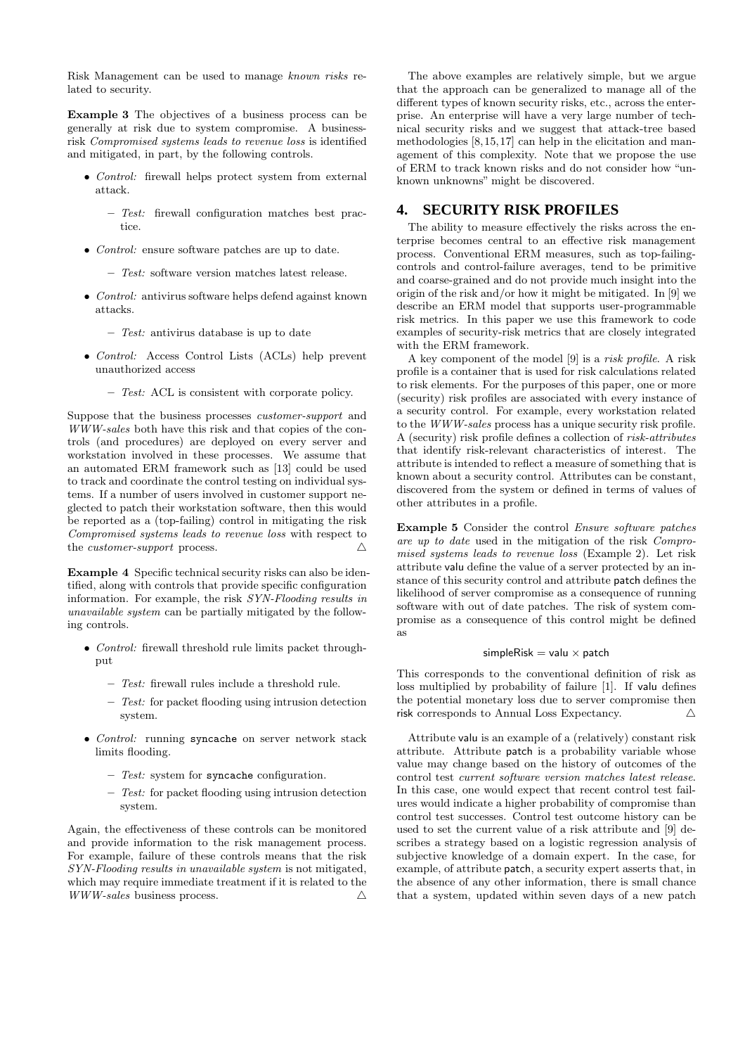Risk Management can be used to manage *known risks* related to security.

Example 3 The objectives of a business process can be generally at risk due to system compromise. A businessrisk *Compromised systems leads to revenue loss* is identified and mitigated, in part, by the following controls.

- *Control:* firewall helps protect system from external attack.
	- *Test:* firewall configuration matches best practice.
- *Control:* ensure software patches are up to date.
	- *Test:* software version matches latest release.
- *Control:* antivirus software helps defend against known attacks.
	- *Test:* antivirus database is up to date
- *Control:* Access Control Lists (ACLs) help prevent unauthorized access
	- *Test:* ACL is consistent with corporate policy.

Suppose that the business processes *customer-support* and *WWW-sales* both have this risk and that copies of the controls (and procedures) are deployed on every server and workstation involved in these processes. We assume that an automated ERM framework such as [13] could be used to track and coordinate the control testing on individual systems. If a number of users involved in customer support neglected to patch their workstation software, then this would be reported as a (top-failing) control in mitigating the risk *Compromised systems leads to revenue loss* with respect to the *customer-support* process.  $\triangle$ 

Example 4 Specific technical security risks can also be identified, along with controls that provide specific configuration information. For example, the risk *SYN-Flooding results in unavailable system* can be partially mitigated by the following controls.

- *Control:* firewall threshold rule limits packet throughput
	- *Test:* firewall rules include a threshold rule.
	- *Test:* for packet flooding using intrusion detection system.
- *Control:* running syncache on server network stack limits flooding.
	- *Test:* system for syncache configuration.
	- *Test:* for packet flooding using intrusion detection system.

Again, the effectiveness of these controls can be monitored and provide information to the risk management process. For example, failure of these controls means that the risk *SYN-Flooding results in unavailable system* is not mitigated, which may require immediate treatment if it is related to the  $WW\text{-}sales$  business process.

The above examples are relatively simple, but we argue that the approach can be generalized to manage all of the different types of known security risks, etc., across the enterprise. An enterprise will have a very large number of technical security risks and we suggest that attack-tree based methodologies [8,15,17] can help in the elicitation and management of this complexity. Note that we propose the use of ERM to track known risks and do not consider how "unknown unknowns" might be discovered.

## **4. SECURITY RISK PROFILES**

The ability to measure effectively the risks across the enterprise becomes central to an effective risk management process. Conventional ERM measures, such as top-failingcontrols and control-failure averages, tend to be primitive and coarse-grained and do not provide much insight into the origin of the risk and/or how it might be mitigated. In [9] we describe an ERM model that supports user-programmable risk metrics. In this paper we use this framework to code examples of security-risk metrics that are closely integrated with the ERM framework.

A key component of the model [9] is a *risk profile*. A risk profile is a container that is used for risk calculations related to risk elements. For the purposes of this paper, one or more (security) risk profiles are associated with every instance of a security control. For example, every workstation related to the *WWW-sales* process has a unique security risk profile. A (security) risk profile defines a collection of *risk-attributes* that identify risk-relevant characteristics of interest. The attribute is intended to reflect a measure of something that is known about a security control. Attributes can be constant, discovered from the system or defined in terms of values of other attributes in a profile.

Example 5 Consider the control *Ensure software patches are up to date* used in the mitigation of the risk *Compromised systems leads to revenue loss* (Example 2). Let risk attribute valu define the value of a server protected by an instance of this security control and attribute patch defines the likelihood of server compromise as a consequence of running software with out of date patches. The risk of system compromise as a consequence of this control might be defined as

#### simpleRisk  $=$  valu  $\times$  patch

This corresponds to the conventional definition of risk as loss multiplied by probability of failure [1]. If valu defines the potential monetary loss due to server compromise then risk corresponds to Annual Loss Expectancy.  $\triangle$ 

Attribute valu is an example of a (relatively) constant risk attribute. Attribute patch is a probability variable whose value may change based on the history of outcomes of the control test *current software version matches latest release*. In this case, one would expect that recent control test failures would indicate a higher probability of compromise than control test successes. Control test outcome history can be used to set the current value of a risk attribute and [9] describes a strategy based on a logistic regression analysis of subjective knowledge of a domain expert. In the case, for example, of attribute patch, a security expert asserts that, in the absence of any other information, there is small chance that a system, updated within seven days of a new patch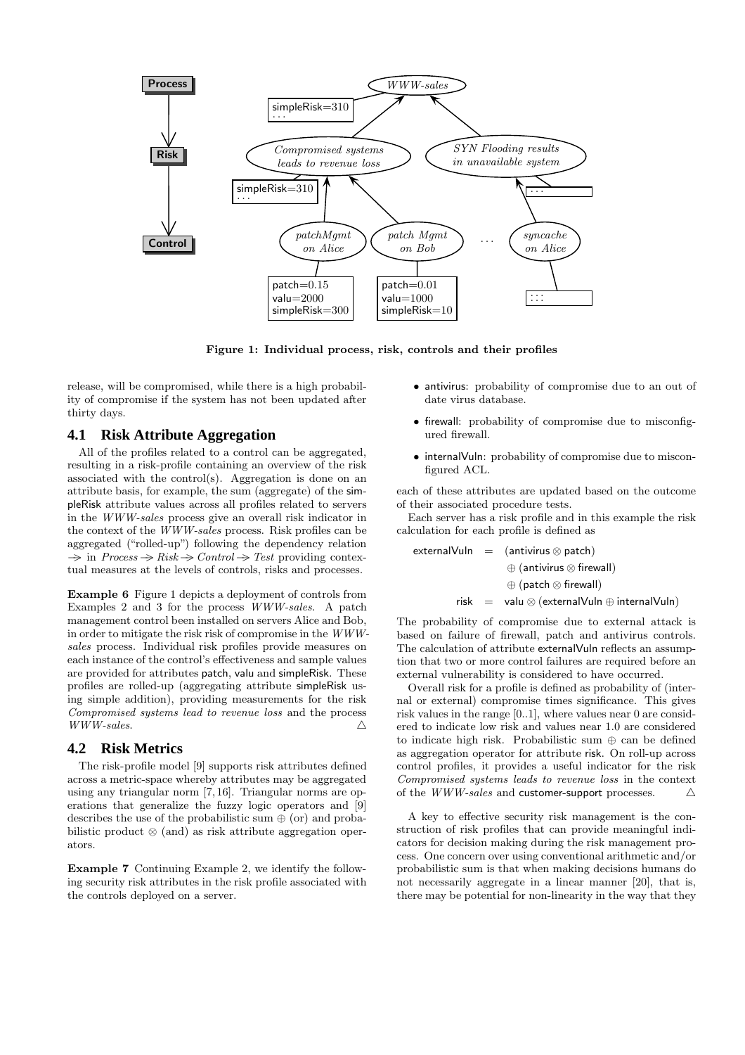

Figure 1: Individual process, risk, controls and their profiles

release, will be compromised, while there is a high probability of compromise if the system has not been updated after thirty days.

## **4.1 Risk Attribute Aggregation**

All of the profiles related to a control can be aggregated, resulting in a risk-profile containing an overview of the risk associated with the control(s). Aggregation is done on an attribute basis, for example, the sum (aggregate) of the simpleRisk attribute values across all profiles related to servers in the *WWW-sales* process give an overall risk indicator in the context of the *WWW-sales* process. Risk profiles can be aggregated ("rolled-up") following the dependency relation → in *Process* → *Risk* → *Control* → *Test* providing contextual measures at the levels of controls, risks and processes.

Example 6 Figure 1 depicts a deployment of controls from Examples 2 and 3 for the process *WWW-sales*. A patch management control been installed on servers Alice and Bob, in order to mitigate the risk risk of compromise in the *WWWsales* process. Individual risk profiles provide measures on each instance of the control's effectiveness and sample values are provided for attributes patch, valu and simpleRisk. These profiles are rolled-up (aggregating attribute simpleRisk using simple addition), providing measurements for the risk *Compromised systems lead to revenue loss* and the process  $WWW-sales.$   $\triangle$ 

### **4.2 Risk Metrics**

The risk-profile model [9] supports risk attributes defined across a metric-space whereby attributes may be aggregated using any triangular norm [7, 16]. Triangular norms are operations that generalize the fuzzy logic operators and [9] describes the use of the probabilistic sum  $\oplus$  (or) and probabilistic product ⊗ (and) as risk attribute aggregation operators.

Example 7 Continuing Example 2, we identify the following security risk attributes in the risk profile associated with the controls deployed on a server.

- antivirus: probability of compromise due to an out of date virus database.
- firewall: probability of compromise due to misconfigured firewall.
- internalVuln: probability of compromise due to misconfigured ACL.

each of these attributes are updated based on the outcome of their associated procedure tests.

Each server has a risk profile and in this example the risk calculation for each profile is defined as

 $externalVuln = (antivirus \otimes patch)$ ⊕ (antivirus ⊗ firewall) ⊕ (patch ⊗ firewall) risk = valu  $\otimes$  (externalVuln  $\oplus$  internalVuln)

The probability of compromise due to external attack is based on failure of firewall, patch and antivirus controls. The calculation of attribute externalVuln reflects an assumption that two or more control failures are required before an external vulnerability is considered to have occurred.

Overall risk for a profile is defined as probability of (internal or external) compromise times significance. This gives risk values in the range [0..1], where values near 0 are considered to indicate low risk and values near 1.0 are considered to indicate high risk. Probabilistic sum ⊕ can be defined as aggregation operator for attribute risk. On roll-up across control profiles, it provides a useful indicator for the risk *Compromised systems leads to revenue loss* in the context of the *WWW-sales* and customer-support processes.  $\triangle$ 

A key to effective security risk management is the construction of risk profiles that can provide meaningful indicators for decision making during the risk management process. One concern over using conventional arithmetic and/or probabilistic sum is that when making decisions humans do not necessarily aggregate in a linear manner [20], that is, there may be potential for non-linearity in the way that they